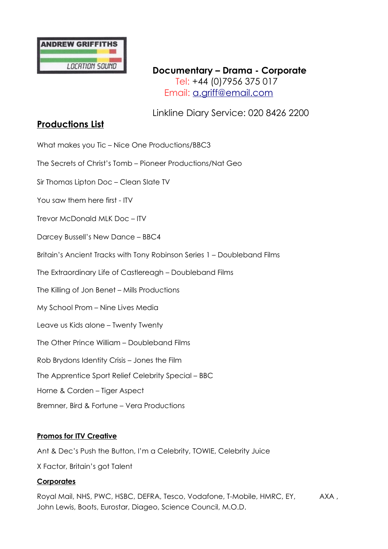

**Documentary – Drama - Corporate** Tel: +44 (0)7956 375 017 Email: [a.griff@email.com](mailto:a.griff@email.com)

Linkline Diary Service: 020 8426 2200

## **Productions List**

What makes you Tic – Nice One Productions/BBC3

The Secrets of Christ's Tomb – Pioneer Productions/Nat Geo

Sir Thomas Lipton Doc – Clean Slate TV

You saw them here first - ITV

Trevor McDonald MLK Doc – ITV

Darcey Bussell's New Dance – BBC4

Britain's Ancient Tracks with Tony Robinson Series 1 – Doubleband Films

The Extraordinary Life of Castlereagh – Doubleband Films

The Killing of Jon Benet – Mills Productions

My School Prom – Nine Lives Media

Leave us Kids alone – Twenty Twenty

The Other Prince William – Doubleband Films

Rob Brydons Identity Crisis – Jones the Film

The Apprentice Sport Relief Celebrity Special – BBC

Horne & Corden – Tiger Aspect

Bremner, Bird & Fortune – Vera Productions

## **Promos for ITV Creative**

Ant & Dec's Push the Button, I'm a Celebrity, TOWIE, Celebrity Juice

X Factor, Britain's got Talent

## **Corporates**

Royal Mail, NHS, PWC, HSBC, DEFRA, Tesco, Vodafone, T-Mobile, HMRC, EY, AXA, John Lewis, Boots, Eurostar, Diageo, Science Council, M.O.D.